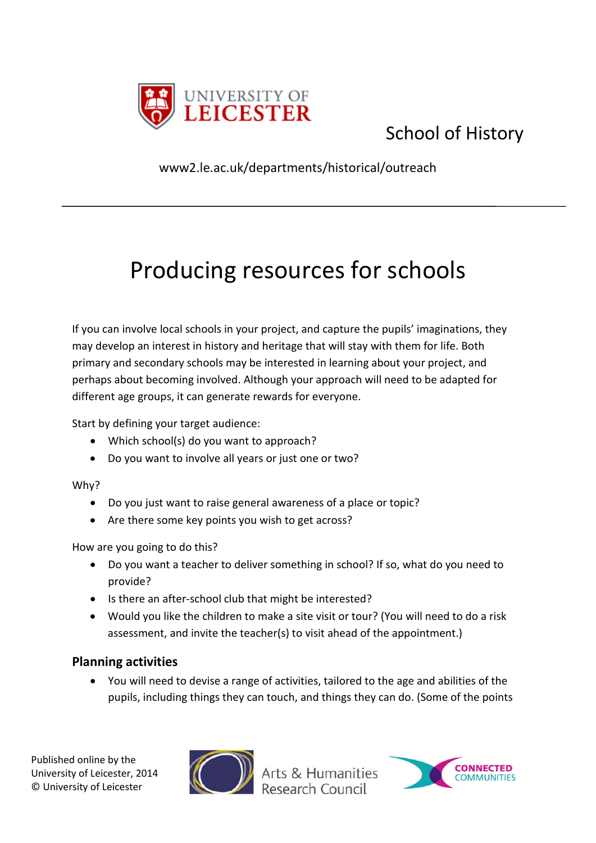

# School of History

www2.le.ac.uk/departments/historical/outreach

# Producing resources for schools

If you can involve local schools in your project, and capture the pupils' imaginations, they may develop an interest in history and heritage that will stay with them for life. Both primary and secondary schools may be interested in learning about your project, and perhaps about becoming involved. Although your approach will need to be adapted for different age groups, it can generate rewards for everyone.

Start by defining your target audience:

- Which school(s) do you want to approach?
- Do you want to involve all years or just one or two?

# Why?

- Do you just want to raise general awareness of a place or topic?
- Are there some key points you wish to get across?

How are you going to do this?

- Do you want a teacher to deliver something in school? If so, what do you need to provide?
- Is there an after-school club that might be interested?
- Would you like the children to make a site visit or tour? (You will need to do a risk assessment, and invite the teacher(s) to visit ahead of the appointment.)

# **Planning activities**

• You will need to devise a range of activities, tailored to the age and abilities of the pupils, including things they can touch, and things they can do. (Some of the points



Arts & Humanities

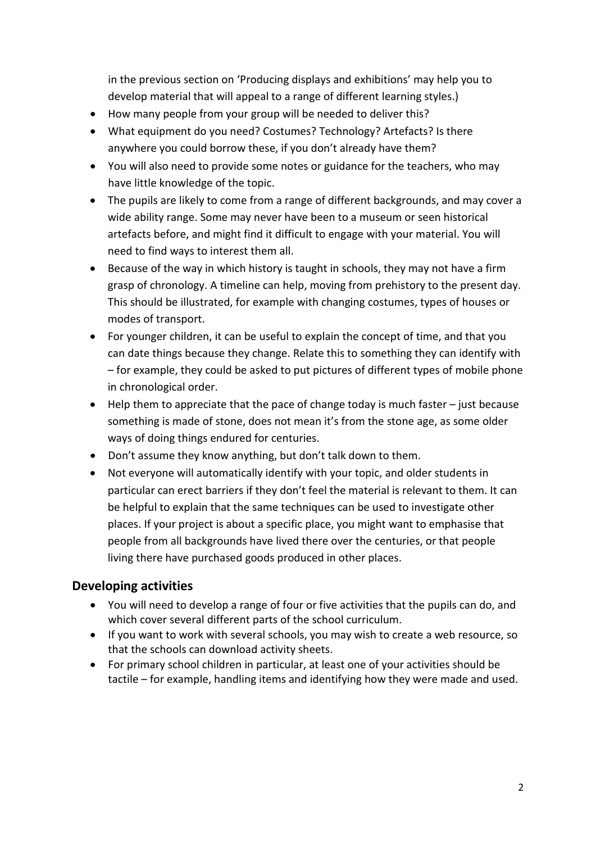in the previous section on 'Producing displays and exhibitions' may help you to develop material that will appeal to a range of different learning styles.)

- How many people from your group will be needed to deliver this?
- What equipment do you need? Costumes? Technology? Artefacts? Is there anywhere you could borrow these, if you don't already have them?
- You will also need to provide some notes or guidance for the teachers, who may have little knowledge of the topic.
- The pupils are likely to come from a range of different backgrounds, and may cover a wide ability range. Some may never have been to a museum or seen historical artefacts before, and might find it difficult to engage with your material. You will need to find ways to interest them all.
- Because of the way in which history is taught in schools, they may not have a firm grasp of chronology. A timeline can help, moving from prehistory to the present day. This should be illustrated, for example with changing costumes, types of houses or modes of transport.
- For younger children, it can be useful to explain the concept of time, and that you can date things because they change. Relate this to something they can identify with – for example, they could be asked to put pictures of different types of mobile phone in chronological order.
- Help them to appreciate that the pace of change today is much faster just because something is made of stone, does not mean it's from the stone age, as some older ways of doing things endured for centuries.
- Don't assume they know anything, but don't talk down to them.
- Not everyone will automatically identify with your topic, and older students in particular can erect barriers if they don't feel the material is relevant to them. It can be helpful to explain that the same techniques can be used to investigate other places. If your project is about a specific place, you might want to emphasise that people from all backgrounds have lived there over the centuries, or that people living there have purchased goods produced in other places.

# **Developing activities**

- You will need to develop a range of four or five activities that the pupils can do, and which cover several different parts of the school curriculum.
- If you want to work with several schools, you may wish to create a web resource, so that the schools can download activity sheets.
- For primary school children in particular, at least one of your activities should be tactile – for example, handling items and identifying how they were made and used.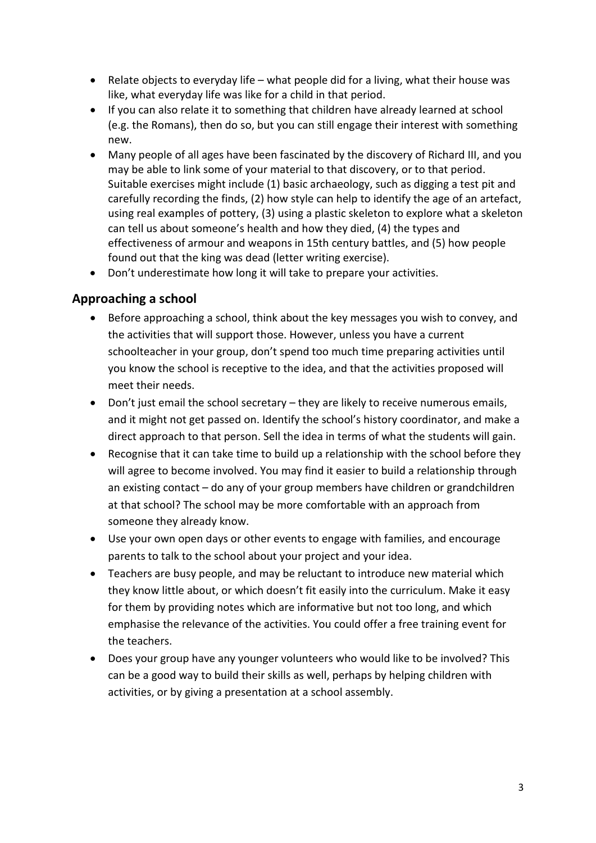- Relate objects to everyday life what people did for a living, what their house was like, what everyday life was like for a child in that period.
- If you can also relate it to something that children have already learned at school (e.g. the Romans), then do so, but you can still engage their interest with something new.
- Many people of all ages have been fascinated by the discovery of Richard III, and you may be able to link some of your material to that discovery, or to that period. Suitable exercises might include (1) basic archaeology, such as digging a test pit and carefully recording the finds, (2) how style can help to identify the age of an artefact, using real examples of pottery, (3) using a plastic skeleton to explore what a skeleton can tell us about someone's health and how they died, (4) the types and effectiveness of armour and weapons in 15th century battles, and (5) how people found out that the king was dead (letter writing exercise).
- Don't underestimate how long it will take to prepare your activities.

# **Approaching a school**

- Before approaching a school, think about the key messages you wish to convey, and the activities that will support those. However, unless you have a current schoolteacher in your group, don't spend too much time preparing activities until you know the school is receptive to the idea, and that the activities proposed will meet their needs.
- Don't just email the school secretary they are likely to receive numerous emails, and it might not get passed on. Identify the school's history coordinator, and make a direct approach to that person. Sell the idea in terms of what the students will gain.
- Recognise that it can take time to build up a relationship with the school before they will agree to become involved. You may find it easier to build a relationship through an existing contact – do any of your group members have children or grandchildren at that school? The school may be more comfortable with an approach from someone they already know.
- Use your own open days or other events to engage with families, and encourage parents to talk to the school about your project and your idea.
- Teachers are busy people, and may be reluctant to introduce new material which they know little about, or which doesn't fit easily into the curriculum. Make it easy for them by providing notes which are informative but not too long, and which emphasise the relevance of the activities. You could offer a free training event for the teachers.
- Does your group have any younger volunteers who would like to be involved? This can be a good way to build their skills as well, perhaps by helping children with activities, or by giving a presentation at a school assembly.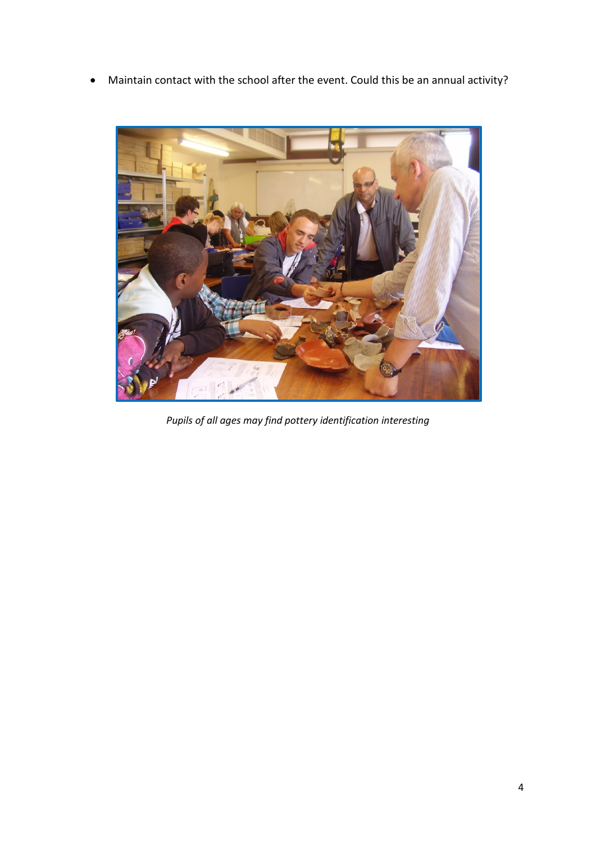• Maintain contact with the school after the event. Could this be an annual activity?



*Pupils of all ages may find pottery identification interesting*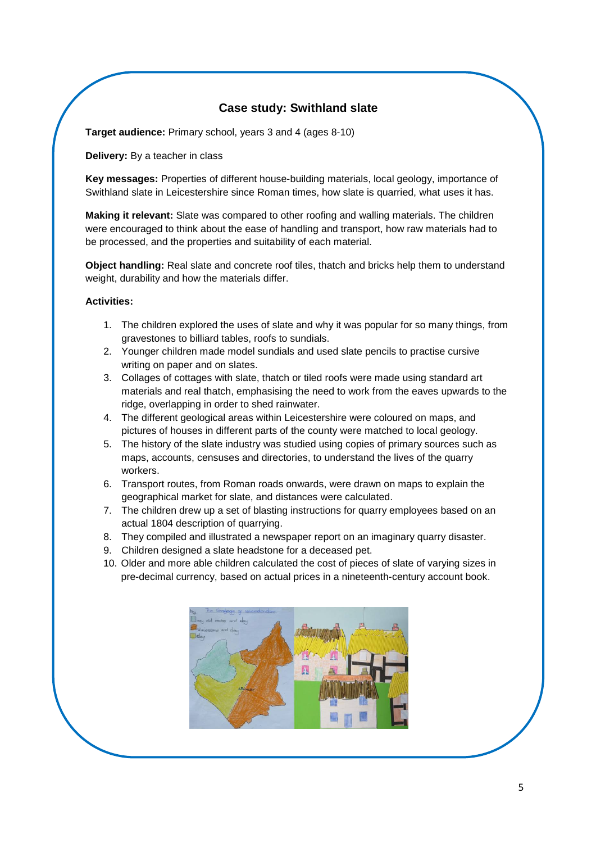# **Case study: Swithland slate**

**Target audience:** Primary school, years 3 and 4 (ages 8-10)

**Delivery:** By a teacher in class

**Key messages:** Properties of different house-building materials, local geology, importance of Swithland slate in Leicestershire since Roman times, how slate is quarried, what uses it has.

**Making it relevant:** Slate was compared to other roofing and walling materials. The children were encouraged to think about the ease of handling and transport, how raw materials had to be processed, and the properties and suitability of each material.

**Object handling:** Real slate and concrete roof tiles, thatch and bricks help them to understand weight, durability and how the materials differ.

#### **Activities:**

- 1. The children explored the uses of slate and why it was popular for so many things, from gravestones to billiard tables, roofs to sundials.
- 2. Younger children made model sundials and used slate pencils to practise cursive writing on paper and on slates.
- 3. Collages of cottages with slate, thatch or tiled roofs were made using standard art materials and real thatch, emphasising the need to work from the eaves upwards to the ridge, overlapping in order to shed rainwater.
- 4. The different geological areas within Leicestershire were coloured on maps, and pictures of houses in different parts of the county were matched to local geology.
- 5. The history of the slate industry was studied using copies of primary sources such as maps, accounts, censuses and directories, to understand the lives of the quarry workers.
- 6. Transport routes, from Roman roads onwards, were drawn on maps to explain the geographical market for slate, and distances were calculated.
- 7. The children drew up a set of blasting instructions for quarry employees based on an actual 1804 description of quarrying.
- 8. They compiled and illustrated a newspaper report on an imaginary quarry disaster.
- 9. Children designed a slate headstone for a deceased pet.
- 10. Older and more able children calculated the cost of pieces of slate of varying sizes in pre-decimal currency, based on actual prices in a nineteenth-century account book.

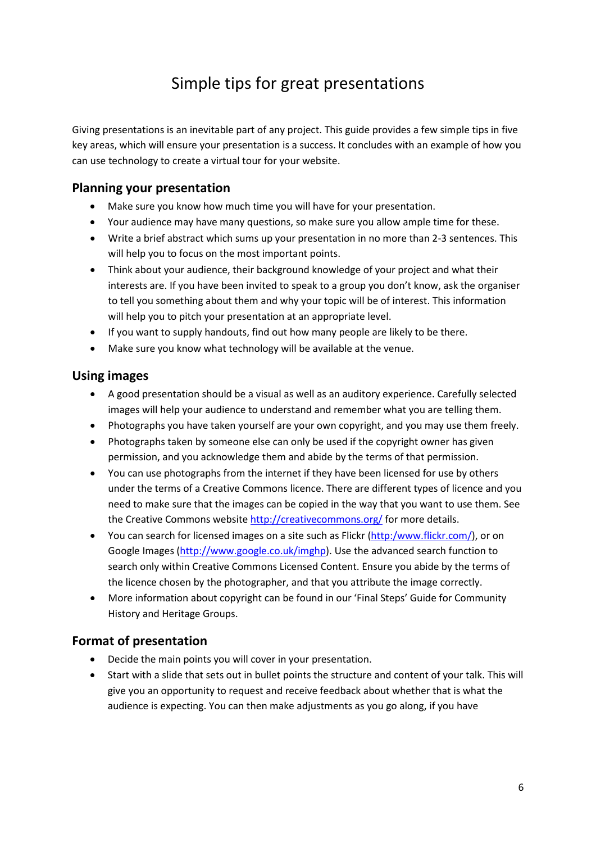# Simple tips for great presentations

Giving presentations is an inevitable part of any project. This guide provides a few simple tips in five key areas, which will ensure your presentation is a success. It concludes with an example of how you can use technology to create a virtual tour for your website.

# **Planning your presentation**

- Make sure you know how much time you will have for your presentation.
- Your audience may have many questions, so make sure you allow ample time for these.
- Write a brief abstract which sums up your presentation in no more than 2-3 sentences. This will help you to focus on the most important points.
- Think about your audience, their background knowledge of your project and what their interests are. If you have been invited to speak to a group you don't know, ask the organiser to tell you something about them and why your topic will be of interest. This information will help you to pitch your presentation at an appropriate level.
- If you want to supply handouts, find out how many people are likely to be there.
- Make sure you know what technology will be available at the venue.

# **Using images**

- A good presentation should be a visual as well as an auditory experience. Carefully selected images will help your audience to understand and remember what you are telling them.
- Photographs you have taken yourself are your own copyright, and you may use them freely.
- Photographs taken by someone else can only be used if the copyright owner has given permission, and you acknowledge them and abide by the terms of that permission.
- You can use photographs from the internet if they have been licensed for use by others under the terms of a Creative Commons licence. There are different types of licence and you need to make sure that the images can be copied in the way that you want to use them. See the Creative Commons website <http://creativecommons.org/> for more details.
- You can search for licensed images on a site such as Flickr [\(http:/www.flickr.com/\)](http://www.flickr.com/), or on Google Images [\(http://www.google.co.uk/imghp\)](http://www.google.co.uk/imghp). Use the advanced search function to search only within Creative Commons Licensed Content. Ensure you abide by the terms of the licence chosen by the photographer, and that you attribute the image correctly.
- More information about copyright can be found in our 'Final Steps' Guide for Community History and Heritage Groups.

# **Format of presentation**

- Decide the main points you will cover in your presentation.
- Start with a slide that sets out in bullet points the structure and content of your talk. This will give you an opportunity to request and receive feedback about whether that is what the audience is expecting. You can then make adjustments as you go along, if you have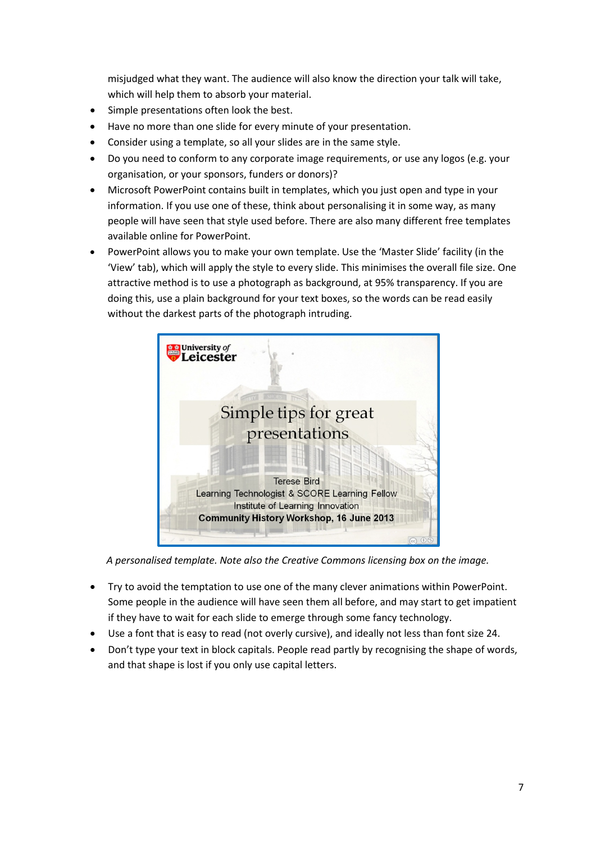misjudged what they want. The audience will also know the direction your talk will take, which will help them to absorb your material.

- Simple presentations often look the best.
- Have no more than one slide for every minute of your presentation.
- Consider using a template, so all your slides are in the same style.
- Do you need to conform to any corporate image requirements, or use any logos (e.g. your organisation, or your sponsors, funders or donors)?
- Microsoft PowerPoint contains built in templates, which you just open and type in your information. If you use one of these, think about personalising it in some way, as many people will have seen that style used before. There are also many different free templates available online for PowerPoint.
- PowerPoint allows you to make your own template. Use the 'Master Slide' facility (in the 'View' tab), which will apply the style to every slide. This minimises the overall file size. One attractive method is to use a photograph as background, at 95% transparency. If you are doing this, use a plain background for your text boxes, so the words can be read easily without the darkest parts of the photograph intruding.



*A personalised template. Note also the Creative Commons licensing box on the image.*

- Try to avoid the temptation to use one of the many clever animations within PowerPoint. Some people in the audience will have seen them all before, and may start to get impatient if they have to wait for each slide to emerge through some fancy technology.
- Use a font that is easy to read (not overly cursive), and ideally not less than font size 24.
- Don't type your text in block capitals. People read partly by recognising the shape of words, and that shape is lost if you only use capital letters.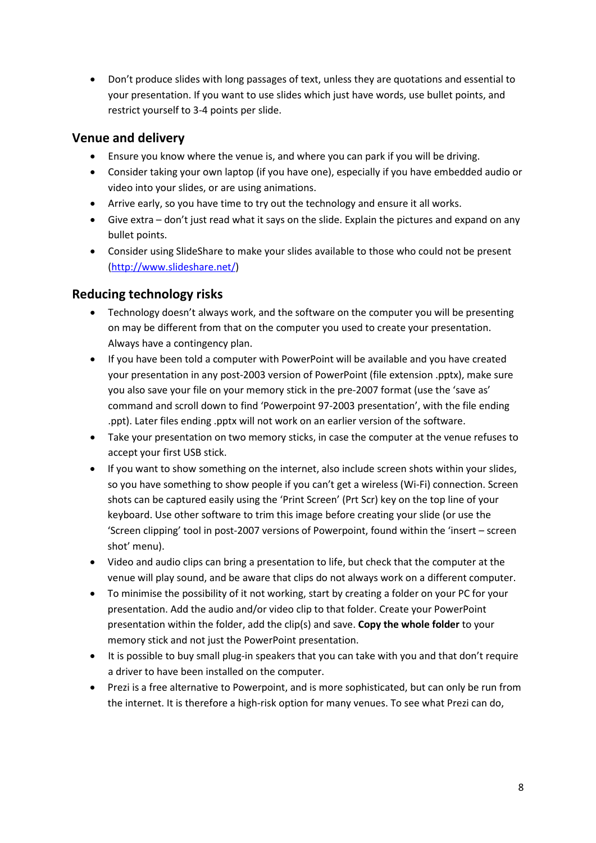• Don't produce slides with long passages of text, unless they are quotations and essential to your presentation. If you want to use slides which just have words, use bullet points, and restrict yourself to 3-4 points per slide.

### **Venue and delivery**

- Ensure you know where the venue is, and where you can park if you will be driving.
- Consider taking your own laptop (if you have one), especially if you have embedded audio or video into your slides, or are using animations.
- Arrive early, so you have time to try out the technology and ensure it all works.
- Give extra don't just read what it says on the slide. Explain the pictures and expand on any bullet points.
- Consider using SlideShare to make your slides available to those who could not be present [\(http://www.slideshare.net/\)](http://www.slideshare.net/)

# **Reducing technology risks**

- Technology doesn't always work, and the software on the computer you will be presenting on may be different from that on the computer you used to create your presentation. Always have a contingency plan.
- If you have been told a computer with PowerPoint will be available and you have created your presentation in any post-2003 version of PowerPoint (file extension .pptx), make sure you also save your file on your memory stick in the pre-2007 format (use the 'save as' command and scroll down to find 'Powerpoint 97-2003 presentation', with the file ending .ppt). Later files ending .pptx will not work on an earlier version of the software.
- Take your presentation on two memory sticks, in case the computer at the venue refuses to accept your first USB stick.
- If you want to show something on the internet, also include screen shots within your slides, so you have something to show people if you can't get a wireless (Wi-Fi) connection. Screen shots can be captured easily using the 'Print Screen' (Prt Scr) key on the top line of your keyboard. Use other software to trim this image before creating your slide (or use the 'Screen clipping' tool in post-2007 versions of Powerpoint, found within the 'insert – screen shot' menu).
- Video and audio clips can bring a presentation to life, but check that the computer at the venue will play sound, and be aware that clips do not always work on a different computer.
- To minimise the possibility of it not working, start by creating a folder on your PC for your presentation. Add the audio and/or video clip to that folder. Create your PowerPoint presentation within the folder, add the clip(s) and save. **Copy the whole folder** to your memory stick and not just the PowerPoint presentation.
- It is possible to buy small plug-in speakers that you can take with you and that don't require a driver to have been installed on the computer.
- Prezi is a free alternative to Powerpoint, and is more sophisticated, but can only be run from the internet. It is therefore a high-risk option for many venues. To see what Prezi can do,